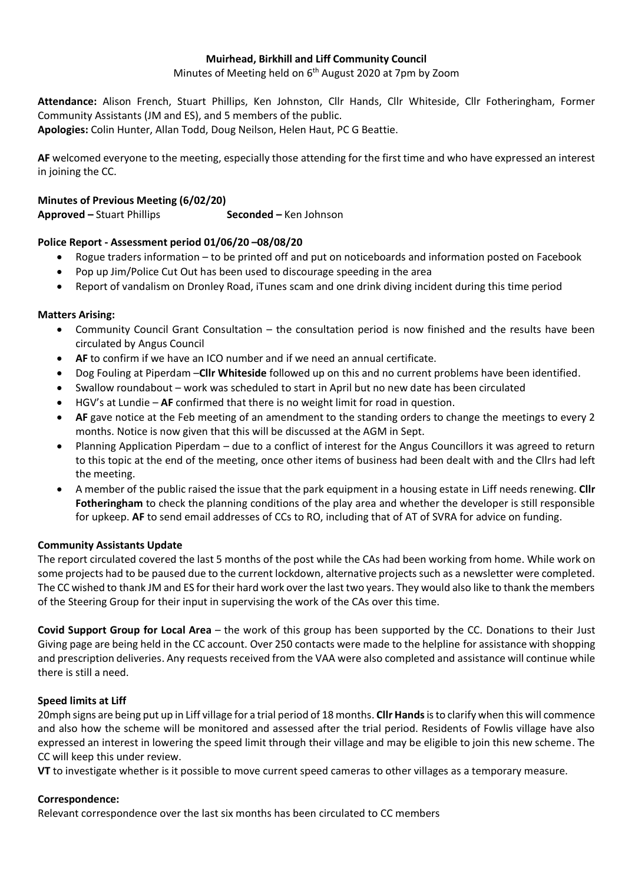#### **Muirhead, Birkhill and Liff Community Council**

Minutes of Meeting held on 6<sup>th</sup> August 2020 at 7pm by Zoom

**Attendance:** Alison French, Stuart Phillips, Ken Johnston, Cllr Hands, Cllr Whiteside, Cllr Fotheringham, Former Community Assistants (JM and ES), and 5 members of the public. **Apologies:** Colin Hunter, Allan Todd, Doug Neilson, Helen Haut, PC G Beattie.

**AF** welcomed everyone to the meeting, especially those attending for the first time and who have expressed an interest in joining the CC.

# **Minutes of Previous Meeting (6/02/20)**

**Approved –** Stuart Phillips **Seconded –** Ken Johnson

# **Police Report - Assessment period 01/06/20 –08/08/20**

- Rogue traders information to be printed off and put on noticeboards and information posted on Facebook
- Pop up Jim/Police Cut Out has been used to discourage speeding in the area
- Report of vandalism on Dronley Road, iTunes scam and one drink diving incident during this time period

# **Matters Arising:**

- Community Council Grant Consultation the consultation period is now finished and the results have been circulated by Angus Council
- **AF** to confirm if we have an ICO number and if we need an annual certificate.
- Dog Fouling at Piperdam –**Cllr Whiteside** followed up on this and no current problems have been identified.
- Swallow roundabout work was scheduled to start in April but no new date has been circulated
- HGV's at Lundie **AF** confirmed that there is no weight limit for road in question.
- **AF** gave notice at the Feb meeting of an amendment to the standing orders to change the meetings to every 2 months. Notice is now given that this will be discussed at the AGM in Sept.
- Planning Application Piperdam due to a conflict of interest for the Angus Councillors it was agreed to return to this topic at the end of the meeting, once other items of business had been dealt with and the Cllrs had left the meeting.
- A member of the public raised the issue that the park equipment in a housing estate in Liff needs renewing. **Cllr Fotheringham** to check the planning conditions of the play area and whether the developer is still responsible for upkeep. **AF** to send email addresses of CCs to RO, including that of AT of SVRA for advice on funding.

# **Community Assistants Update**

The report circulated covered the last 5 months of the post while the CAs had been working from home. While work on some projects had to be paused due to the current lockdown, alternative projects such as a newsletter were completed. The CC wished to thank JM and ES for their hard work over the last two years. They would also like to thank the members of the Steering Group for their input in supervising the work of the CAs over this time.

**Covid Support Group for Local Area** – the work of this group has been supported by the CC. Donations to their Just Giving page are being held in the CC account. Over 250 contacts were made to the helpline for assistance with shopping and prescription deliveries. Any requests received from the VAA were also completed and assistance will continue while there is still a need.

# **Speed limits at Liff**

20mph signs are being put up in Liff village for a trial period of 18 months. **Cllr Hands**is to clarify when this will commence and also how the scheme will be monitored and assessed after the trial period. Residents of Fowlis village have also expressed an interest in lowering the speed limit through their village and may be eligible to join this new scheme. The CC will keep this under review.

**VT** to investigate whether is it possible to move current speed cameras to other villages as a temporary measure.

# **Correspondence:**

Relevant correspondence over the last six months has been circulated to CC members